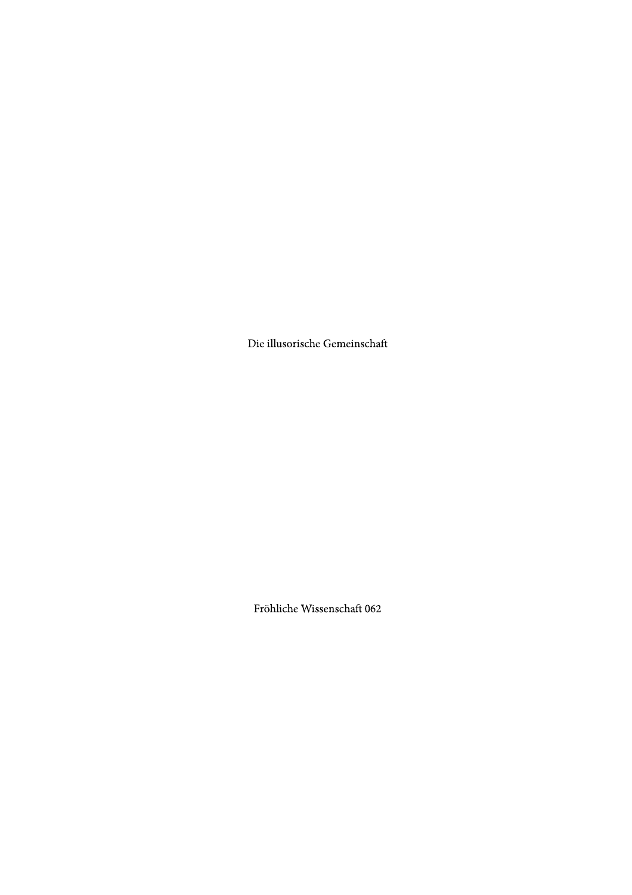Die illusorische Gemeinschaft

Fröhliche Wissenschaft 062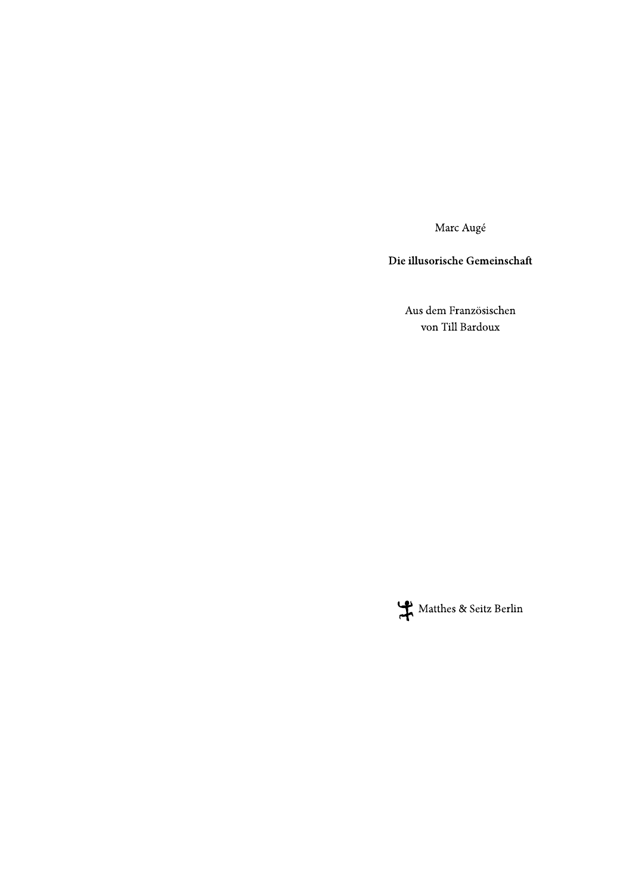Marc Augé

Die illusorische Gemeinschaft

Aus dem Französischen von Till Bardoux

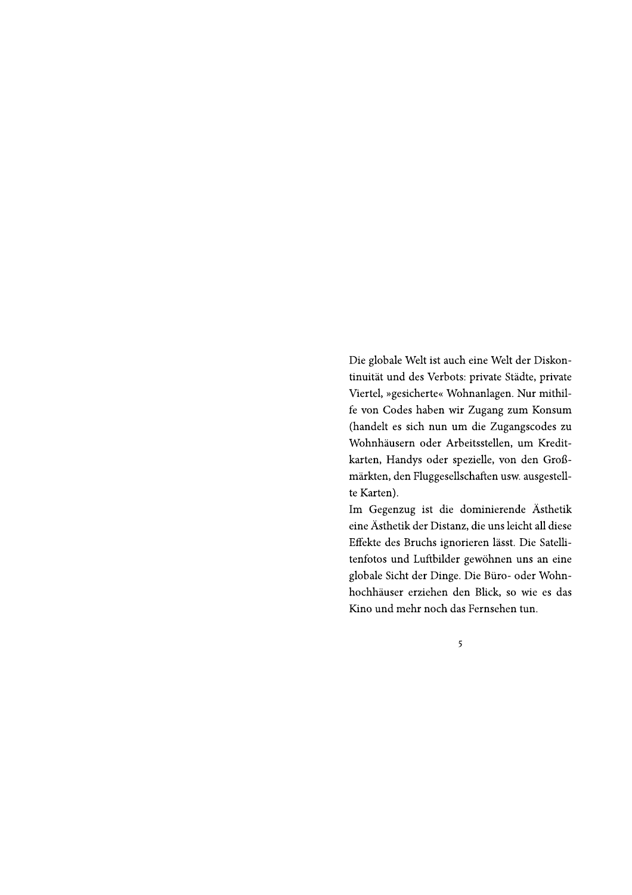Die globale Welt ist auch eine Welt der Diskontinuität und des Verbots: private Städte, private Viertel, »gesicherte« Wohnanlagen. Nur mithilfe von Codes haben wir Zugang zum Konsum (handelt es sich nun um die Zugangscodes zu Wohnhäusern oder Arbeitsstellen, um Kreditkarten, Handys oder spezielle, von den Großmärkten, den Fluggesellschaften usw. ausgestellte Karten).

Im Gegenzug ist die dominierende Ästhetik eine Ästhetik der Distanz, die uns leicht all diese Effekte des Bruchs ignorieren lässt. Die Satellitenfotos und Luftbilder gewöhnen uns an eine globale Sicht der Dinge. Die Büro- oder Wohnhochhäuser erziehen den Blick, so wie es das Kino und mehr noch das Fernsehen tun.

5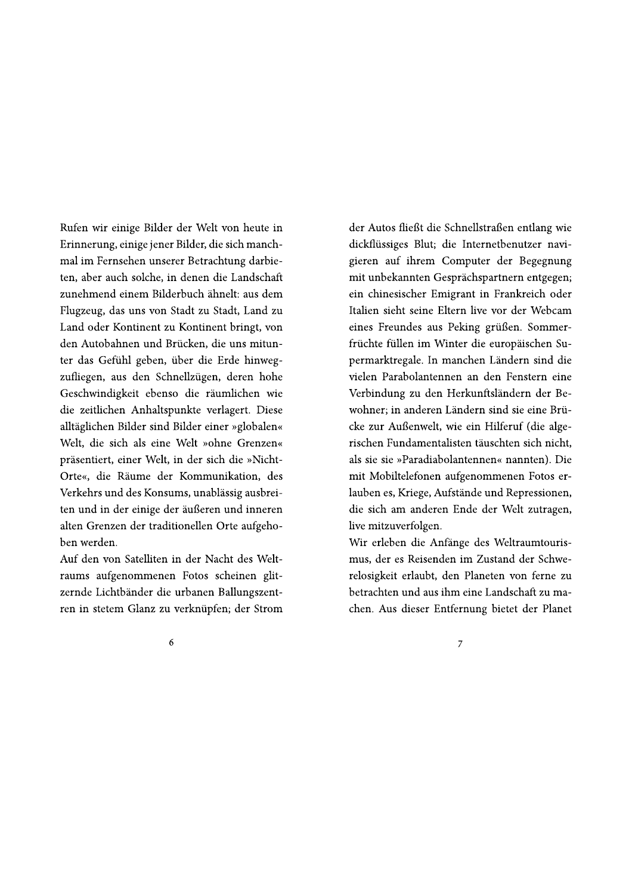Rufen wir einige Bilder der Welt von heute in Erinnerung, einige jener Bilder, die sich manchmal im Fernsehen unserer Betrachtung darbieten, aber auch solche, in denen die Landschaft zunehmend einem Bilderbuch ähnelt: aus dem Flugzeug, das uns von Stadt zu Stadt, Land zu Land oder Kontinent zu Kontinent bringt, von den Autobahnen und Brücken, die uns mitunter das Gefühl geben, über die Erde hinwegzufliegen, aus den Schnellzügen, deren hohe Geschwindigkeit ebenso die räumlichen wie die zeitlichen Anhaltspunkte verlagert. Diese alltäglichen Bilder sind Bilder einer »globalen« Welt, die sich als eine Welt »ohne Grenzen« präsentiert, einer Welt, in der sich die »Nicht-Orte«, die Räume der Kommunikation, des Verkehrs und des Konsums, unablässig ausbreiten und in der einige der äußeren und inneren alten Grenzen der traditionellen Orte aufgehoben werden.

Auf den von Satelliten in der Nacht des Weltraums aufgenommenen Fotos scheinen glitzernde Lichtbänder die urbanen Ballungszentren in stetem Glanz zu verknüpfen; der Strom

der Autos fließt die Schnellstraßen entlang wie dickflüssiges Blut; die Internetbenutzer navigieren auf ihrem Computer der Begegnung mit unbekannten Gesprächspartnern entgegen; ein chinesischer Emigrant in Frankreich oder Italien sieht seine Eltern live vor der Webcam eines Freundes aus Peking grüßen. Sommerfrüchte füllen im Winter die europäischen Supermarktregale. In manchen Ländern sind die vielen Parabolantennen an den Fenstern eine Verbindung zu den Herkunftsländern der Bewohner; in anderen Ländern sind sie eine Brücke zur Außenwelt, wie ein Hilferuf (die algerischen Fundamentalisten täuschten sich nicht, als sie sie »Paradiabolantennen« nannten). Die mit Mobiltelefonen aufgenommenen Fotos erlauben es, Kriege, Aufstände und Repressionen, die sich am anderen Ende der Welt zutragen, live mitzuverfolgen.

Wir erleben die Anfänge des Weltraumtourismus, der es Reisenden im Zustand der Schwerelosigkeit erlaubt, den Planeten von ferne zu betrachten und aus ihm eine Landschaft zu machen. Aus dieser Entfernung bietet der Planet

6

 $\overline{7}$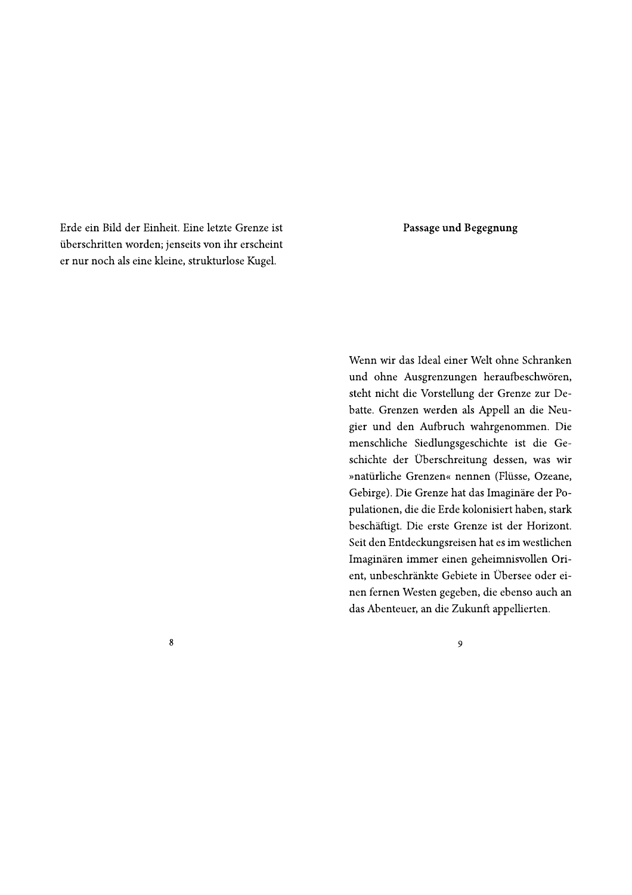Erde ein Bild der Einheit. Eine letzte Grenze ist überschritten worden; jenseits von ihr erscheint er nur noch als eine kleine, strukturlose Kugel.

Passage und Begegnung

Wenn wir das Ideal einer Welt ohne Schranken und ohne Ausgrenzungen heraufbeschwören, steht nicht die Vorstellung der Grenze zur Debatte. Grenzen werden als Appell an die Neugier und den Aufbruch wahrgenommen. Die menschliche Siedlungsgeschichte ist die Geschichte der Überschreitung dessen, was wir »natürliche Grenzen« nennen (Flüsse, Ozeane, Gebirge). Die Grenze hat das Imaginäre der Populationen, die die Erde kolonisiert haben, stark beschäftigt. Die erste Grenze ist der Horizont. Seit den Entdeckungsreisen hat es im westlichen Imaginären immer einen geheimnisvollen Orient, unbeschränkte Gebiete in Übersee oder einen fernen Westen gegeben, die ebenso auch an das Abenteuer, an die Zukunft appellierten.

8

9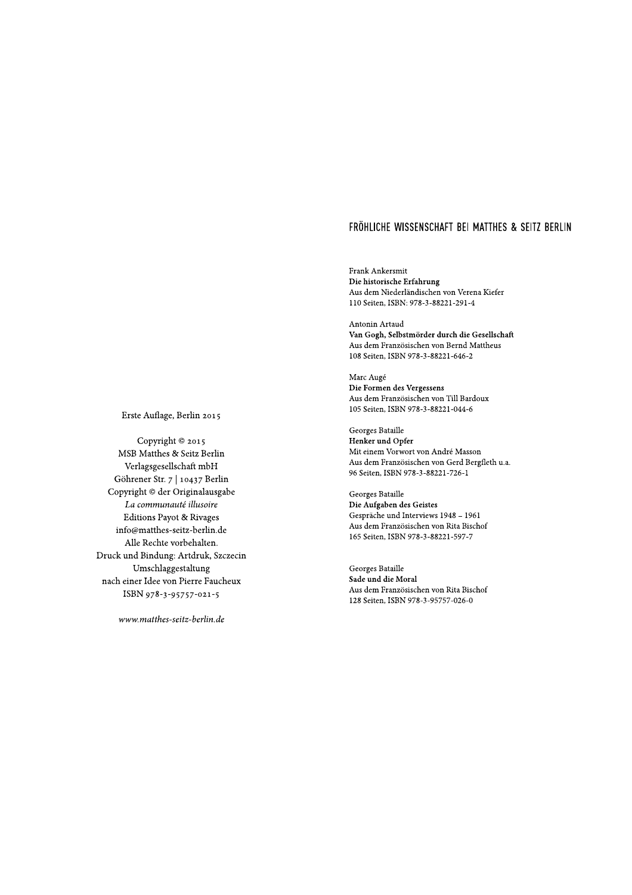$\operatorname{Frank}\nolimits$  Ankersmit Die historische Erfahrung Aus dem Niederländischen von Verena Kiefer 110 Seiten, ISBN: 978-3-88221-291-4

Antonin Artaud Van Gogh, Selbstmörder durch die Gesellschaft Aus dem Französischen von Bernd Mattheus 108 Seiten, ISBN 978-3-88221-646-2

Marc Augé Die Formen des Vergessens Aus dem Französischen von Till Bardoux 105 Seiten, ISBN 978-3-88221-044-6

Georges Bataille Henker und Opfer Mit einem Vorwort von André Masson Aus dem Französischen von Gerd Bergfleth u.a. 96 Seiten, ISBN 978-3-88221-726-1

Georges Bataille Die Aufgaben des Geistes Gespräche und Interviews 1948 - 1961 Aus dem Französischen von Rita Bischof 165 Seiten, ISBN 978-3-88221-597-7

Georges Bataille Sade und die Moral Aus dem Französischen von Rita Bischof 128 Seiten, ISBN 978-3-95757-026-0

Erste Auflage, Berlin 2015

Copyright © 2015 MSB Matthes & Seitz Berlin Verlagsgesellschaft mbH Göhrener Str. 7 | 10437 Berlin Copyright © der Originalausgabe La communauté illusoire **Editions Payot & Rivages** info@matthes-seitz-berlin.de Alle Rechte vorbehalten. Druck und Bindung: Artdruk, Szczecin Umschlaggestaltung nach einer Idee von Pierre Faucheux ISBN 978-3-95757-021-5

www.matthes-seitz-berlin.de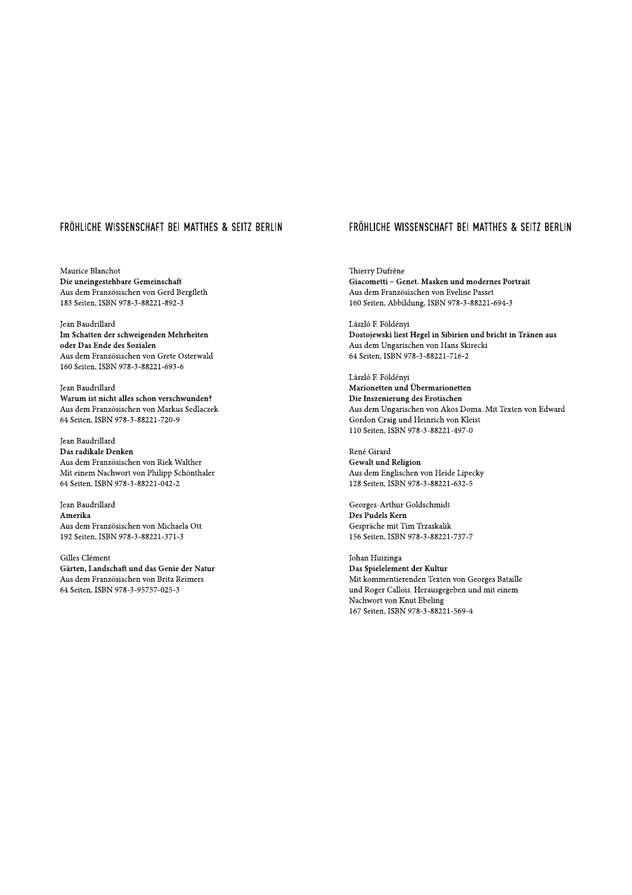Maurice Blanchot Die uneingestehbare Gemeinschaft Aus dem Französischen von Gerd Bergfleth 183 Seiten, ISBN 978-3-88221-892-3

Jean Baudrillard Im Schatten der schweigenden Mehrheiten oder Das Ende des Sozialen Aus dem Französischen von Grete Osterwald 160 Seiten, ISBN 978-3-88221-693-6

Jean Baudrillard Warum ist nicht alles schon verschwunden? Aus dem Französischen von Markus Sedlaczek 64 Seiten, ISBN 978-3-88221-720-9

Jean Baudrillard Das radikale Denken Aus dem Französischen von Riek Walther Mit einem Nachwort von Philipp Schönthaler 64 Seiten, ISBN 978-3-88221-042-2

Jean Baudrillard Amerika Aus dem Französischen von Michaela Ott 192 Seiten, ISBN 978-3-88221-371-3

Gilles Clément Gärten, Landschaft und das Genie der Natur Aus dem Französischen von Brita Reimers 64 Seiten, ISBN 978-3-95757-025-3

# FRÖHLICHE WISSENSCHAFT BEI MATTHES & SEITZ BERLIN

Thierry Dufrêne Giacometti - Genet. Masken und modernes Portrait Aus dem Französischen von Eveline Passet 160 Seiten, Abbildung, ISBN 978-3-88221-694-3

László F. Földényi Dostojewski liest Hegel in Sibirien und bricht in Tränen aus Aus dem Ungarischen von Hans Skirecki 64 Seiten, ISBN 978-3-88221-716-2

László F. Földényi Marionetten und Übermarionetten Die Inszenierung des Erotischen Aus dem Ungarischen von Akos Doma. Mit Texten von Edward Gordon Craig und Heinrich von Kleist 110 Seiten, ISBN 978-3-88221-497-0

René Girard Gewalt und Religion Aus dem Englischen von Heide Lipecky 128 Seiten, ISBN 978-3-88221-632-5

Georges-Arthur Goldschmidt Des Pudels Kern Gespräche mit Tim Trzaskalik 156 Seiten, ISBN 978-3-88221-737-7

Johan Huizinga Das Spielelement der Kultur Mit kommentierenden Texten von Georges Bataille und Roger Callois. Herausgegeben und mit einem Nachwort von Knut Ebeling 167 Seiten, ISBN 978-3-88221-569-4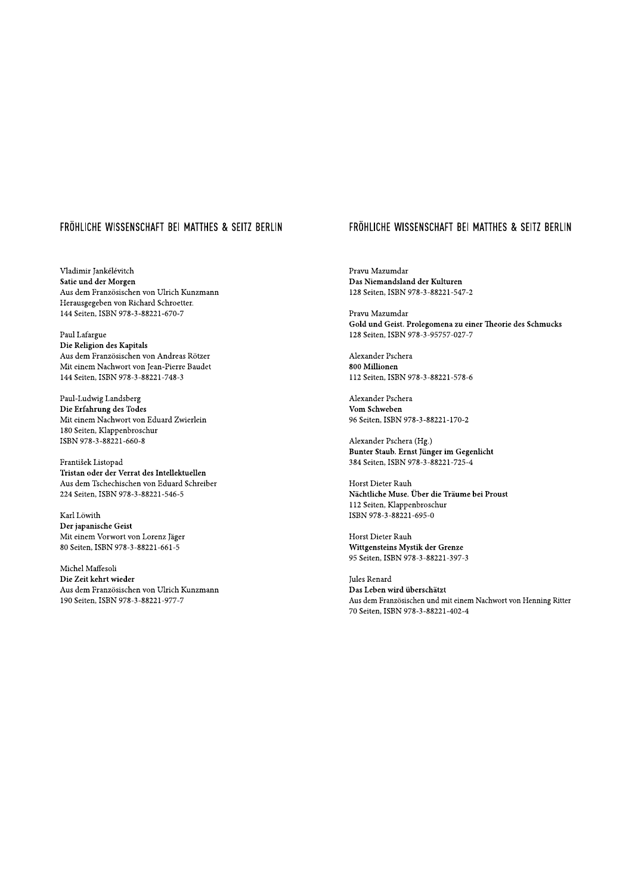Vladimir Jankélévitch Satie und der Morgen Aus dem Französischen von Ulrich Kunzmann Herausgegeben von Richard Schroetter. 144 Seiten, ISBN 978-3-88221-670-7

Paul Lafargue Die Religion des Kapitals Aus dem Französischen von Andreas Rötzer Mit einem Nachwort von Jean-Pierre Baudet 144 Seiten, ISBN 978-3-88221-748-3

Paul-Ludwig Landsberg Die Erfahrung des Todes Mit einem Nachwort von Eduard Zwierlein 180 Seiten, Klappenbroschur ISBN 978-3-88221-660-8

František Listopad Tristan oder der Verrat des Intellektuellen Aus dem Tschechischen von Eduard Schreiber 224 Seiten, ISBN 978-3-88221-546-5

Karl Löwith Der japanische Geist Mit einem Vorwort von Lorenz Jäger 80 Seiten, ISBN 978-3-88221-661-5

Michel Maffesoli Die Zeit kehrt wieder Aus dem Französischen von Ulrich Kunzmann 190 Seiten, ISBN 978-3-88221-977-7

## FRÖHLICHE WISSENSCHAFT BEI MATTHES & SEITZ BERLIN

Pravu Mazumdar Das Niemandsland der Kulturen 128 Seiten, ISBN 978-3-88221-547-2

Pravu Mazumdar Gold und Geist. Prolegomena zu einer Theorie des Schmucks 128 Seiten, ISBN 978-3-95757-027-7

Alexander Pschera 800 Millionen 112 Seiten, ISBN 978-3-88221-578-6

Alexander Pschera Vom Schweben 96 Seiten, ISBN 978-3-88221-170-2

Alexander Pschera (Hg.) Bunter Staub. Ernst Jünger im Gegenlicht 384 Seiten, ISBN 978-3-88221-725-4

Horst Dieter Rauh Nächtliche Muse. Über die Träume bei Proust 112 Seiten, Klappenbroschur ISBN 978-3-88221-695-0

Horst Dieter Rauh Wittgensteins Mystik der Grenze 95 Seiten, ISBN 978-3-88221-397-3

Jules Renard Das Leben wird überschätzt Aus dem Französischen und mit einem Nachwort von Henning Ritter 70 Seiten, ISBN 978-3-88221-402-4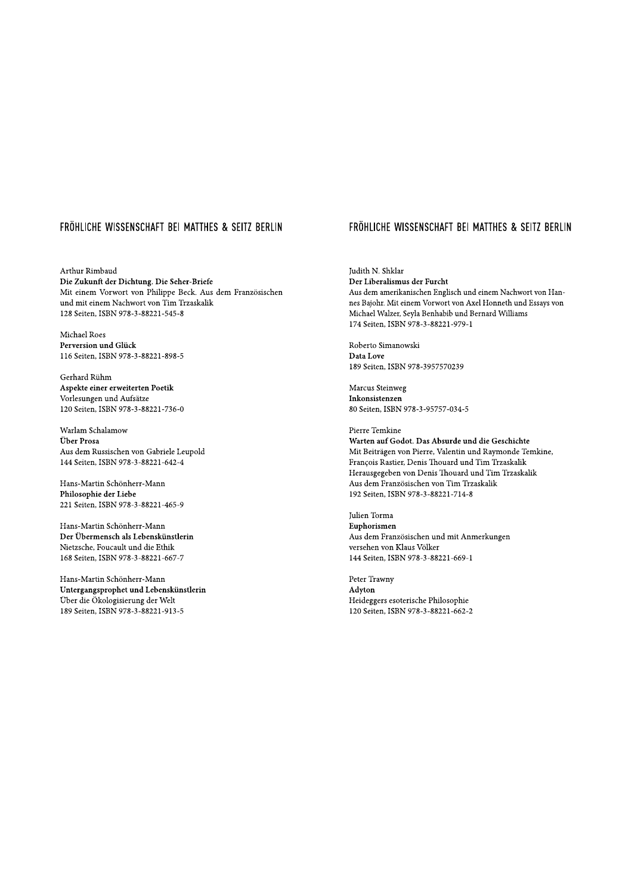Arthur Rimbaud Die Zukunft der Dichtung. Die Seher-Briefe Mit einem Vorwort von Philippe Beck. Aus dem Französischen und mit einem Nachwort von Tim Trzaskalik 128 Seiten, ISBN 978-3-88221-545-8

Michael Roes Perversion und Glück 116 Seiten, ISBN 978-3-88221-898-5

Gerhard Rühm Aspekte einer erweiterten Poetik Vorlesungen und Aufsätze 120 Seiten, ISBN 978-3-88221-736-0

Warlam Schalamow Über Prosa Aus dem Russischen von Gabriele Leupold 144 Seiten, ISBN 978-3-88221-642-4

Hans-Martin Schönherr-Mann Philosophie der Liebe 221 Seiten, ISBN 978-3-88221-465-9

Hans-Martin Schönherr-Mann Der Übermensch als Lebenskünstlerin Nietzsche, Foucault und die Ethik 168 Seiten, ISBN 978-3-88221-667-7

Hans-Martin Schönherr-Mann Untergangsprophet und Lebenskünstlerin Über die Ökologisierung der Welt 189 Seiten, ISBN 978-3-88221-913-5

## FRÖHLICHE WISSENSCHAFT BEI MATTHES & SEITZ BERLIN

Judith N. Shklar Der Liberalismus der Furcht Aus dem amerikanischen Englisch und einem Nachwort von Hannes Bajohr. Mit einem Vorwort von Axel Honneth und Essays von Michael Walzer, Seyla Benhabib und Bernard Williams 174 Seiten, ISBN 978-3-88221-979-1

Roberto Simanowski Data Love 189 Seiten, ISBN 978-3957570239

Marcus Steinweg Inkonsistenzen 80 Seiten, ISBN 978-3-95757-034-5

Pierre Temkine

Warten auf Godot. Das Absurde und die Geschichte Mit Beiträgen von Pierre, Valentin und Raymonde Temkine, François Rastier, Denis Thouard und Tim Trzaskalik Herausgegeben von Denis Thouard und Tim Trzaskalik Aus dem Französischen von Tim Trzaskalik 192 Seiten, ISBN 978-3-88221-714-8

Julien Torma Euphorismen Aus dem Französischen und mit Anmerkungen versehen von Klaus Völker 144 Seiten, ISBN 978-3-88221-669-1

Peter Trawny Advton Heideggers esoterische Philosophie 120 Seiten, ISBN 978-3-88221-662-2